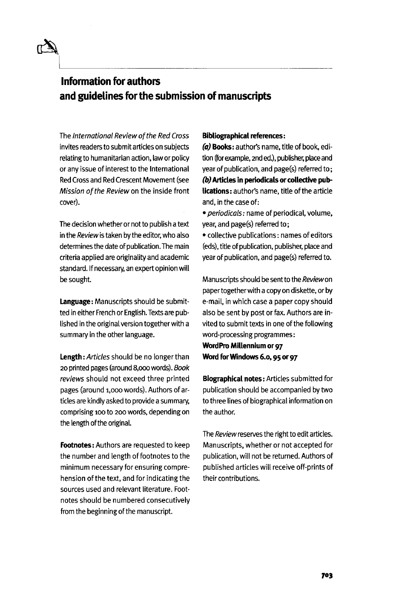## Information for authors and guidelines for the submission of manuscripts

The International Review of the Red Cross invites readers to submit articles on subjects relating to humanitarian action, law or policy or any issue of interest to the International Red Cross and Red Crescent Movement (see Mission of the Review on the inside front cover).

The decision whether or not to publish a text in the Review is taken by the editor, who also determines the date of publication. The main criteria applied are originality and academic standard. If necessary, an expert opinion will be sought.

**Language:** Manuscripts should be submitted in either French or English. Texts are published in the original version together with a summary in the other language.

**Length:** Articles should be no longer than 20 printed pages (around 8,000 words). Book reviews should not exceed three printed pages (around 1,000 words). Authors of articles are kindly asked to provide a summary, comprising 100 to 200 words, depending on the length of the original.

**Footnotes:** Authors are requested to keep the number and length of footnotes to the minimum necessary for ensuring comprehension of the text, and for indicating the sources used and relevant literature. Footnotes should be numbered consecutively from the beginning of the manuscript.

### **Bibliographical references:**

**(a) Books:** author's name, title of book, edition (for example, 2nd ed.), publisher, place and year of publication, and page(s) referred to; **(b) Articles in periodicals or collective publications:** author's name, title of the article and, in the case of:

• periodicals: name of periodical, volume, year, and page(s) referred to;

• collective publications: names of editors (eds), title of publication, publisher, place and year of publication, and page(s) referred to.

Manuscripts should be sent to the Review on paper together with a copy on diskette, or by e-mail, in which case a paper copy should also be sent by post or fax. Authors are invited to submit texts in one of the following word-processing programmes: **WordPro Millennium or 97 Word for Windows 6.0,95 or 97**

**Biographical notes:** Articles submitted for publication should be accompanied by two to three lines of biographical information on the author.

The Review reserves the right to edit articles. Manuscripts, whether or not accepted for publication, will not be returned. Authors of published articles will receive off-prints of their contributions.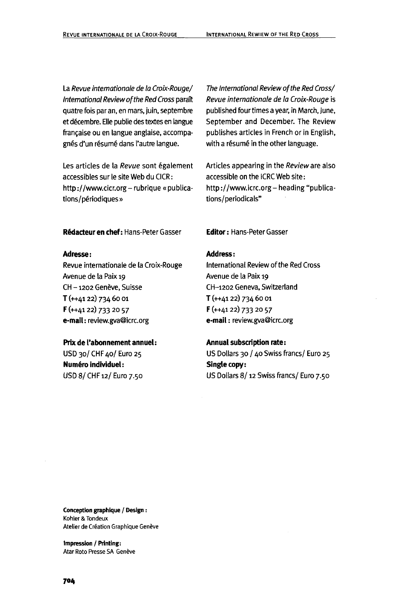La Revue internationale de la Croix-Rouge/ International Review of the Red Cross paraft quatre fois par an, en mars, juin, septembre et decembre. Elle publie des textes en langue française ou en langue anglaise, accompagnés d'un résumé dans l'autre langue.

Les articles de la Revue sont également accessibles sur le site Web du CICR: http://www.cicr.org - rubrique « publications/périodiques»

**R&lacteuren chef:** Hans-Peter Gasser **Editor:** Hans-Peter Gasser

#### **Adresse:**

Revue intemationale de la Croix-Rouge Avenue de la Paix 19 CH - 1202 Genève, Suisse T (++4122) 734 60 01 F (++4122) 733 20 57 **e-mail:** review.gva@icrc.org

#### **Prix de I'abonnement annuel:**

USD 30/ CHF 40/ Euro 25 **Numéro individuel:** USD 8/ CHF 12/ Euro 7.50

The International Review of the Red Cross/ Revue internationale de la Croix-Rouge is published four times a year, in March, June, September and December. The Review publishes articles in French or in English, with a résumé in the other language.

Articles appearing in the Review are also accessible on the ICRC Web site: http://www.icrc.org - heading "publications/periodicals"

#### **Address:**

International Review of the Red Cross Avenue de la Paix 19 CH-1202 Geneva, Switzerland T (++4122) 734 60 01 F (++4122) 733 20 57 **e-mail**: review.gva@icrc.org

#### **Annual subscription rate:**

US Dollars 30 / 40 Swiss francs/ Euro 25 **Single copy:** US Dollars 8/12 Swiss francs/ Euro 7.50

**Conception graphique / Design**: Kohler&Tondeux Atelier de Création Graphique Genève

**Impression / Printing:** Atar Roto Presse SA Genève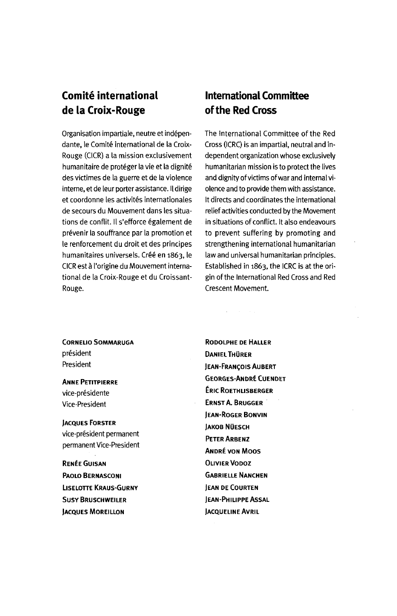# **Comite international de la Croix- Rouge**

Organisation impartiale, neutre et independante, le Comité international de la Croix-Rouge (CICR) a la mission exclusivement humanitaire de protéger la vie et la dignité des victimes de la guerre et de la violence interne, et de leur porter assistance. II dirige et coordonne les activités internationales de secours du Mouvement dans les situations de conflit. Il s'efforce également de prevenir la souffrance par la promotion et le renforcement du droit et des principes humanitaires universels. Créé en 1863, le CICR est a I'origine du Mouvement international de la Croix-Rouge et du Croissant-Rouge.

### **International Committee of the Red Cross**

The International Committee of the Red Cross (ICRC) is an impartial, neutral and independent organization whose exclusively humanitarian mission is to protect the lives and dignity of victims of war and internal violence and to provide them with assistance. It directs and coordinates the international relief activities conducted by the Movement in situations of conflict. It also endeavours to prevent suffering by promoting and strengthening international humanitarian law and universal humanitarian principles. Established in 1863, the ICRC is at the origin of the International Red Cross and Red Crescent Movement.

**CORNELIO SOMMARUGA** president President

ANNE PETITPIERRE vice-présidente Vice-President

JACQUES FORSTER vice-president permanent permanent Vice-President

RENEE GUISAN PAOLO BERNASCONI LLSELOTTE KRAUS-GURNY **SUSY BRUSCHWEILER JACQUES MOREILLON** 

RODOLPHE DE HALLER DANIEL THÜRER JEAN-FRANCOIS AUBERT GEORGES-ANDRE CUENDET ERIC ROETHLISBERGER ERNST A. BRUGGER JEAN-ROGER BONVIN **JAKOB NÜESCH** PETER ARBENZ ANDRE VON Moos OLIVIER VODOZ GABRIELLE NANCHEN JEAN DE COURTEN JEAN-PHILIPPE ASSAL **JACQUELINE AVRIL**